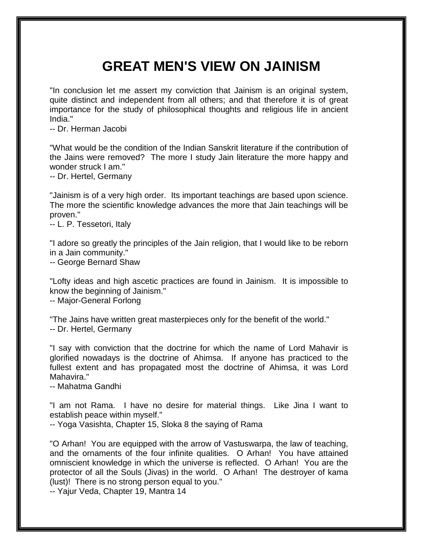## **GREAT MEN'S VIEW ON JAINISM**

"In conclusion let me assert my conviction that Jainism is an original system, quite distinct and independent from all others; and that therefore it is of great importance for the study of philosophical thoughts and religious life in ancient India."

-- Dr. Herman Jacobi

"What would be the condition of the Indian Sanskrit literature if the contribution of the Jains were removed? The more I study Jain literature the more happy and wonder struck I am."

-- Dr. Hertel, Germany

"Jainism is of a very high order. Its important teachings are based upon science. The more the scientific knowledge advances the more that Jain teachings will be proven."

-- L. P. Tessetori, Italy

"I adore so greatly the principles of the Jain religion, that I would like to be reborn in a Jain community."

-- George Bernard Shaw

"Lofty ideas and high ascetic practices are found in Jainism. It is impossible to know the beginning of Jainism."

-- Major-General Forlong

"The Jains have written great masterpieces only for the benefit of the world."

-- Dr. Hertel, Germany

"I say with conviction that the doctrine for which the name of Lord Mahavir is glorified nowadays is the doctrine of Ahimsa. If anyone has practiced to the fullest extent and has propagated most the doctrine of Ahimsa, it was Lord Mahavira."

-- Mahatma Gandhi

"I am not Rama. I have no desire for material things. Like Jina I want to establish peace within myself."

-- Yoga Vasishta, Chapter 15, Sloka 8 the saying of Rama

"O Arhan! You are equipped with the arrow of Vastuswarpa, the law of teaching, and the ornaments of the four infinite qualities. O Arhan! You have attained omniscient knowledge in which the universe is reflected. O Arhan! You are the protector of all the Souls (Jivas) in the world. O Arhan! The destroyer of kama (lust)! There is no strong person equal to you."

-- Yajur Veda, Chapter 19, Mantra 14